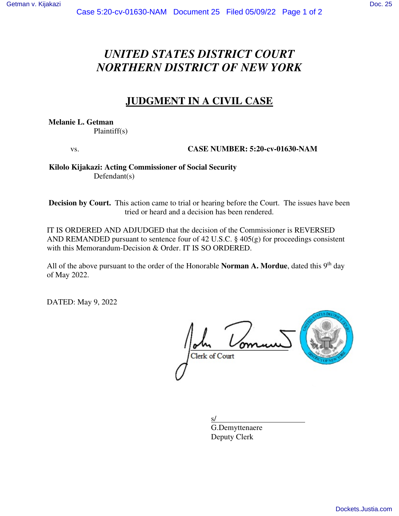# *UNITED STATES DISTRICT COURT NORTHERN DISTRICT OF NEW YORK*

# **JUDGMENT IN A CIVIL CASE**

**Melanie L. Getman**  Plaintiff(s)

vs. **CASE NUMBER: 5:20-cv-01630-NAM** 

 **Kilolo Kijakazi: Acting Commissioner of Social Security**  Defendant(s)

**Decision by Court.** This action came to trial or hearing before the Court. The issues have been tried or heard and a decision has been rendered.

IT IS ORDERED AND ADJUDGED that the decision of the Commissioner is REVERSED AND REMANDED pursuant to sentence four of 42 U.S.C. § 405(g) for proceedings consistent with this Memorandum-Decision & Order. IT IS SO ORDERED.

All of the above pursuant to the order of the Honorable **Norman A. Mordue**, dated this 9<sup>th</sup> day of May 2022.

DATED: May 9, 2022

Clerk of Court

 $s/$  G.Demyttenaere Deputy Clerk